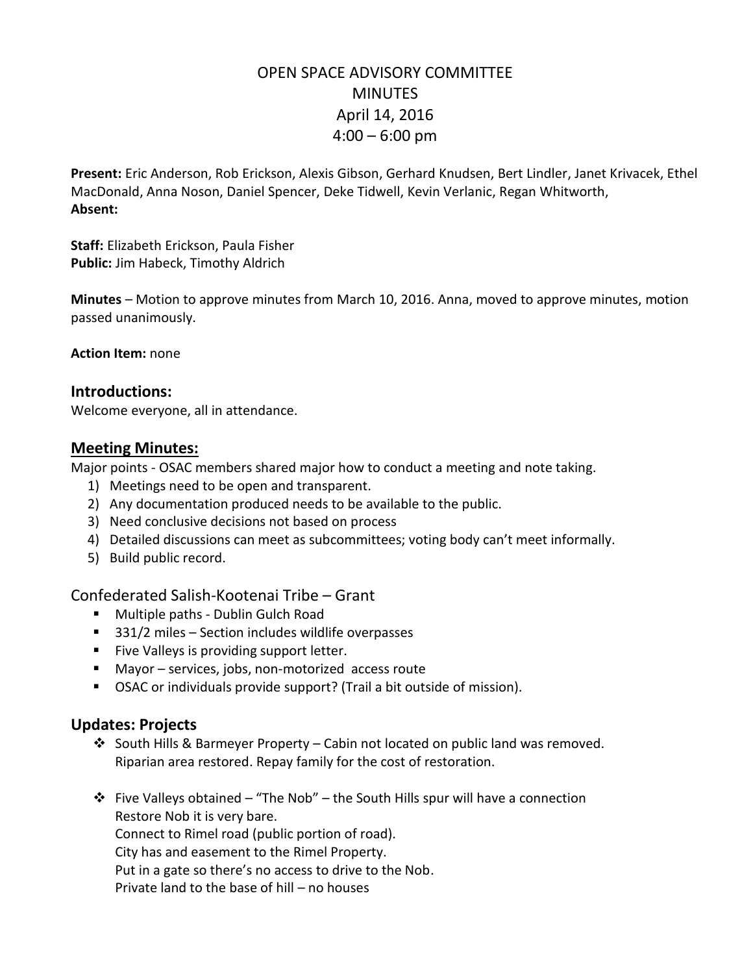# OPEN SPACE ADVISORY COMMITTEE MINUTES April 14, 2016  $4:00 - 6:00$  pm

**Present:** Eric Anderson, Rob Erickson, Alexis Gibson, Gerhard Knudsen, Bert Lindler, Janet Krivacek, Ethel MacDonald, Anna Noson, Daniel Spencer, Deke Tidwell, Kevin Verlanic, Regan Whitworth, **Absent:**

**Staff:** Elizabeth Erickson, Paula Fisher **Public:** Jim Habeck, Timothy Aldrich

**Minutes** – Motion to approve minutes from March 10, 2016. Anna, moved to approve minutes, motion passed unanimously.

**Action Item:** none

#### **Introductions:**

Welcome everyone, all in attendance.

### **Meeting Minutes:**

Major points - OSAC members shared major how to conduct a meeting and note taking.

- 1) Meetings need to be open and transparent.
- 2) Any documentation produced needs to be available to the public.
- 3) Need conclusive decisions not based on process
- 4) Detailed discussions can meet as subcommittees; voting body can't meet informally.
- 5) Build public record.

## Confederated Salish-Kootenai Tribe – Grant

- **Multiple paths Dublin Gulch Road**
- 331/2 miles Section includes wildlife overpasses
- **Five Valleys is providing support letter.**
- Mayor services, jobs, non-motorized access route
- OSAC or individuals provide support? (Trail a bit outside of mission).

## **Updates: Projects**

- South Hills & Barmeyer Property Cabin not located on public land was removed. Riparian area restored. Repay family for the cost of restoration.
- Five Valleys obtained "The Nob" the South Hills spur will have a connection Restore Nob it is very bare.

Connect to Rimel road (public portion of road).

City has and easement to the Rimel Property.

Put in a gate so there's no access to drive to the Nob.

Private land to the base of hill – no houses